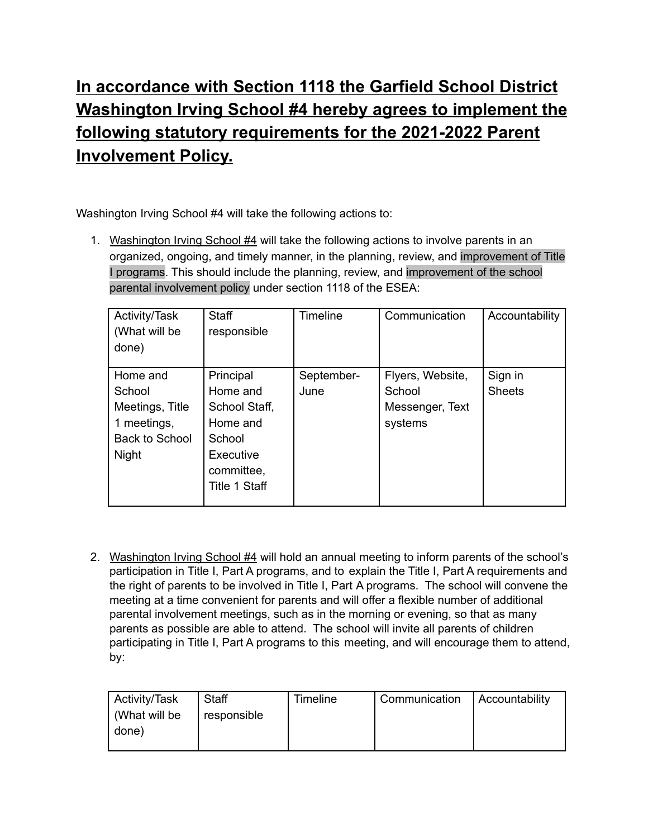## **In accordance with Section 1118 the Garfield School District Washington Irving School #4 hereby agrees to implement the following statutory requirements for the 2021-2022 Parent Involvement Policy.**

Washington Irving School #4 will take the following actions to:

1. Washington Irving School #4 will take the following actions to involve parents in an organized, ongoing, and timely manner, in the planning, review, and improvement of Title I programs. This should include the planning, review, and improvement of the school parental involvement policy under section 1118 of the ESEA:

| Activity/Task   | <b>Staff</b>  | <b>Timeline</b> | Communication    | Accountability |
|-----------------|---------------|-----------------|------------------|----------------|
| (What will be   | responsible   |                 |                  |                |
| done)           |               |                 |                  |                |
|                 |               |                 |                  |                |
| Home and        | Principal     | September-      | Flyers, Website, | Sign in        |
| School          | Home and      | June            | School           | <b>Sheets</b>  |
| Meetings, Title | School Staff, |                 | Messenger, Text  |                |
| 1 meetings,     | Home and      |                 | systems          |                |
| Back to School  | School        |                 |                  |                |
| <b>Night</b>    | Executive     |                 |                  |                |
|                 | committee,    |                 |                  |                |
|                 | Title 1 Staff |                 |                  |                |
|                 |               |                 |                  |                |

2. Washington Irving School #4 will hold an annual meeting to inform parents of the school's participation in Title I, Part A programs, and to explain the Title I, Part A requirements and the right of parents to be involved in Title I, Part A programs. The school will convene the meeting at a time convenient for parents and will offer a flexible number of additional parental involvement meetings, such as in the morning or evening, so that as many parents as possible are able to attend. The school will invite all parents of children participating in Title I, Part A programs to this meeting, and will encourage them to attend, by:

| Activity/Task | Staff       | <b>Timeline</b> | Communication   Accountability |  |
|---------------|-------------|-----------------|--------------------------------|--|
| (What will be | responsible |                 |                                |  |
| I done)       |             |                 |                                |  |
|               |             |                 |                                |  |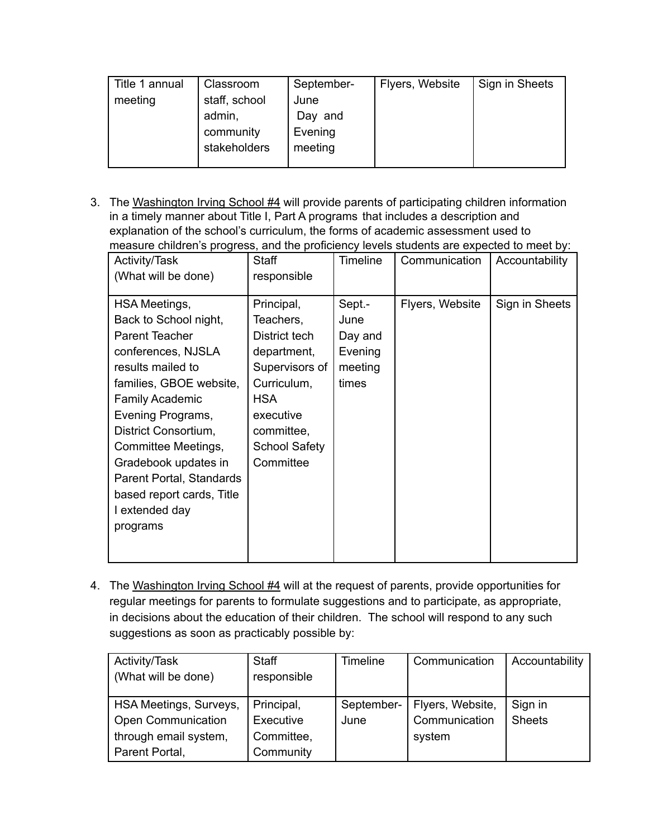| Title 1 annual | Classroom     | September- | Flyers, Website | Sign in Sheets |
|----------------|---------------|------------|-----------------|----------------|
| meeting        | staff, school | June       |                 |                |
|                | admin,        | Day and    |                 |                |
|                | community     | Evening    |                 |                |
|                | stakeholders  | meeting    |                 |                |
|                |               |            |                 |                |

3. The Washington Irving School #4 will provide parents of participating children information in a timely manner about Title I, Part A programs that includes a description and explanation of the school's curriculum, the forms of academic assessment used to measure children's progress, and the proficiency levels students are expected to meet by:

| Activity/Task                                                                                                                                                                                             | <b>Staff</b>                                                                             | Timeline                                                 | Communication   | Accountability |
|-----------------------------------------------------------------------------------------------------------------------------------------------------------------------------------------------------------|------------------------------------------------------------------------------------------|----------------------------------------------------------|-----------------|----------------|
| (What will be done)                                                                                                                                                                                       | responsible                                                                              |                                                          |                 |                |
| <b>HSA Meetings,</b><br>Back to School night,<br>Parent Teacher<br>conferences, NJSLA<br>results mailed to<br>families, GBOE website,                                                                     | Principal,<br>Teachers,<br>District tech<br>department,<br>Supervisors of<br>Curriculum, | Sept.-<br>June<br>Day and<br>Evening<br>meeting<br>times | Flyers, Website | Sign in Sheets |
| <b>Family Academic</b><br>Evening Programs,<br>District Consortium,<br>Committee Meetings,<br>Gradebook updates in<br>Parent Portal, Standards<br>based report cards, Title<br>I extended day<br>programs | <b>HSA</b><br>executive<br>committee,<br><b>School Safety</b><br>Committee               |                                                          |                 |                |

4. The Washington Irving School #4 will at the request of parents, provide opportunities for regular meetings for parents to formulate suggestions and to participate, as appropriate, in decisions about the education of their children. The school will respond to any such suggestions as soon as practicably possible by:

| Activity/Task          | <b>Staff</b> | <b>Timeline</b> | Communication    | Accountability |
|------------------------|--------------|-----------------|------------------|----------------|
| (What will be done)    | responsible  |                 |                  |                |
|                        |              |                 |                  |                |
| HSA Meetings, Surveys, | Principal,   | September-      | Flyers, Website, | Sign in        |
| Open Communication     | Executive    | June            | Communication    | <b>Sheets</b>  |
| through email system,  | Committee,   |                 | system           |                |
| Parent Portal,         | Community    |                 |                  |                |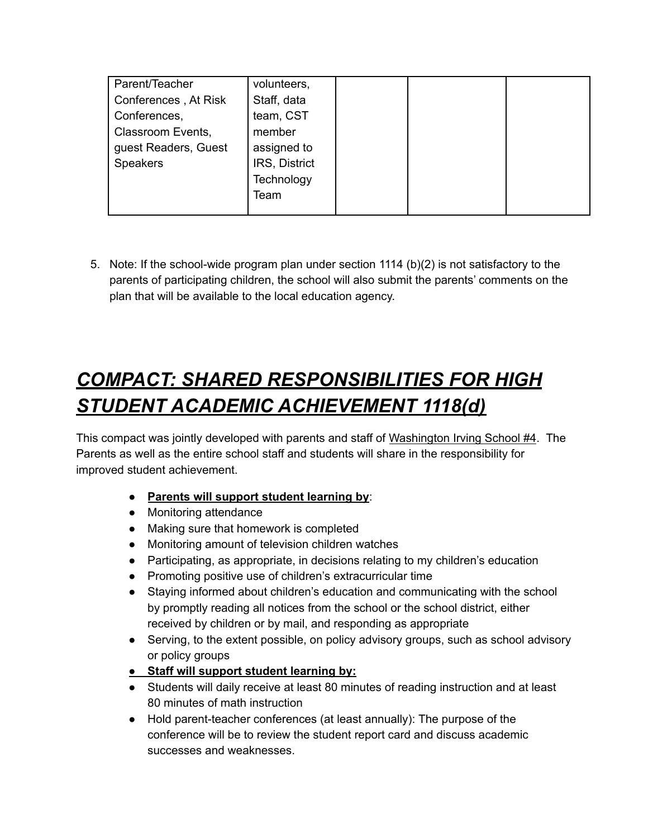| Parent/Teacher       | volunteers,   |  |  |
|----------------------|---------------|--|--|
| Conferences, At Risk | Staff, data   |  |  |
| Conferences,         | team, CST     |  |  |
| Classroom Events,    | member        |  |  |
| guest Readers, Guest | assigned to   |  |  |
| <b>Speakers</b>      | IRS, District |  |  |
|                      | Technology    |  |  |
|                      | Team          |  |  |
|                      |               |  |  |

5. Note: If the school-wide program plan under section 1114 (b)(2) is not satisfactory to the parents of participating children, the school will also submit the parents' comments on the plan that will be available to the local education agency.

## *COMPACT: SHARED RESPONSIBILITIES FOR HIGH STUDENT ACADEMIC ACHIEVEMENT 1118(d)*

This compact was jointly developed with parents and staff of Washington Irving School #4. The Parents as well as the entire school staff and students will share in the responsibility for improved student achievement.

- **Parents will support student learning by**:
- Monitoring attendance
- Making sure that homework is completed
- Monitoring amount of television children watches
- Participating, as appropriate, in decisions relating to my children's education
- Promoting positive use of children's extracurricular time
- Staying informed about children's education and communicating with the school by promptly reading all notices from the school or the school district, either received by children or by mail, and responding as appropriate
- Serving, to the extent possible, on policy advisory groups, such as school advisory or policy groups
- **● Staff will support student learning by:**
- Students will daily receive at least 80 minutes of reading instruction and at least 80 minutes of math instruction
- Hold parent-teacher conferences (at least annually): The purpose of the conference will be to review the student report card and discuss academic successes and weaknesses.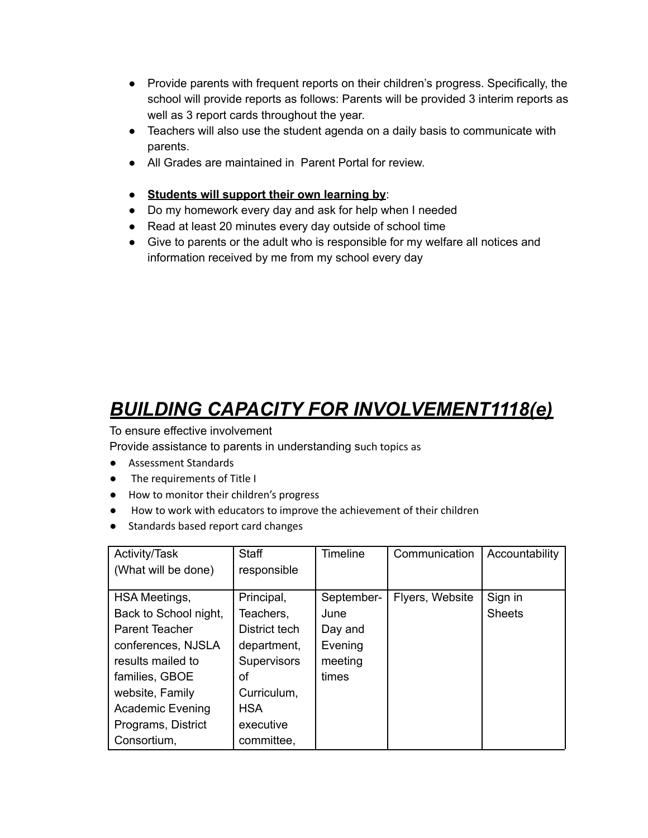- Provide parents with frequent reports on their children's progress. Specifically, the school will provide reports as follows: Parents will be provided 3 interim reports as well as 3 report cards throughout the year.
- Teachers will also use the student agenda on a daily basis to communicate with parents.
- All Grades are maintained in Parent Portal for review.
- **Students will support their own learning by**:
- Do my homework every day and ask for help when I needed
- Read at least 20 minutes every day outside of school time
- Give to parents or the adult who is responsible for my welfare all notices and information received by me from my school every day

## *BUILDING CAPACITY FOR INVOLVEMENT1118(e)*

To ensure effective involvement

Provide assistance to parents in understanding such topics as

- Assessment Standards
- **●** The requirements of Title I
- **●** How to monitor their children's progress
- **●** How to work with educators to improve the achievement of their children
- **●** Standards based report card changes

| Activity/Task           | Staff              | <b>Timeline</b> | Communication   | Accountability |
|-------------------------|--------------------|-----------------|-----------------|----------------|
| (What will be done)     | responsible        |                 |                 |                |
|                         |                    |                 |                 |                |
| <b>HSA Meetings,</b>    | Principal,         | September-      | Flyers, Website | Sign in        |
| Back to School night,   | Teachers,          | June            |                 | <b>Sheets</b>  |
| Parent Teacher          | District tech      | Day and         |                 |                |
| conferences, NJSLA      | department,        | Evening         |                 |                |
| results mailed to       | <b>Supervisors</b> | meeting         |                 |                |
| families, GBOE          | οf                 | times           |                 |                |
| website, Family         | Curriculum,        |                 |                 |                |
| <b>Academic Evening</b> | <b>HSA</b>         |                 |                 |                |
| Programs, District      | executive          |                 |                 |                |
| Consortium,             | committee,         |                 |                 |                |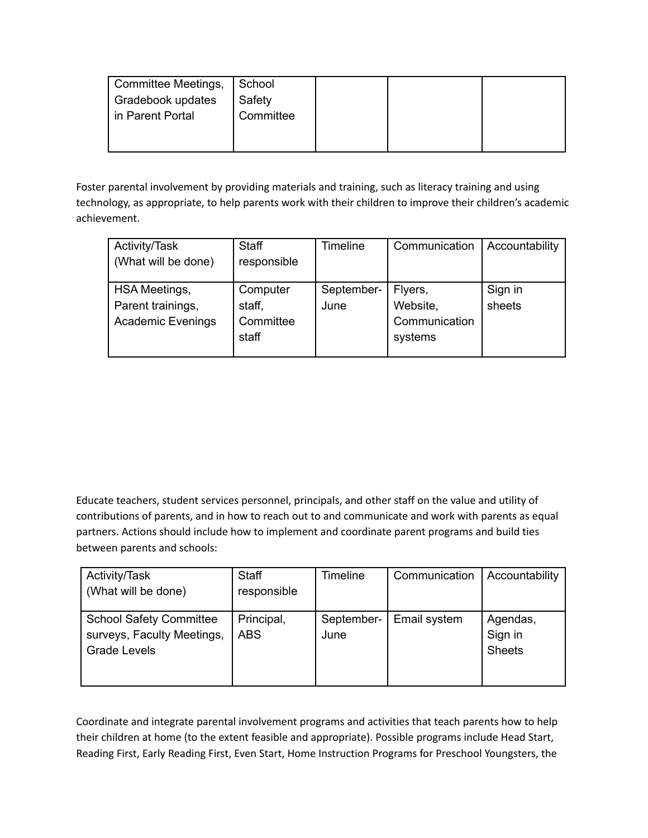| Committee Meetings, School |           |  |  |
|----------------------------|-----------|--|--|
| Gradebook updates          | Safety    |  |  |
| in Parent Portal           | Committee |  |  |
|                            |           |  |  |
|                            |           |  |  |

Foster parental involvement by providing materials and training, such as literacy training and using technology, as appropriate, to help parents work with their children to improve their children's academic achievement.

| Activity/Task            | <b>Staff</b> | <b>Timeline</b> | Communication | Accountability |
|--------------------------|--------------|-----------------|---------------|----------------|
| (What will be done)      | responsible  |                 |               |                |
|                          |              |                 |               |                |
| <b>HSA Meetings,</b>     | Computer     | September-      | Flyers,       | Sign in        |
| Parent trainings,        | staff,       | June            | Website,      | sheets         |
| <b>Academic Evenings</b> | Committee    |                 | Communication |                |
|                          | staff        |                 | systems       |                |
|                          |              |                 |               |                |

Educate teachers, student services personnel, principals, and other staff on the value and utility of contributions of parents, and in how to reach out to and communicate and work with parents as equal partners. Actions should include how to implement and coordinate parent programs and build ties between parents and schools:

| Activity/Task                  | <b>Staff</b> | Timeline   | Communication | Accountability |
|--------------------------------|--------------|------------|---------------|----------------|
| (What will be done)            | responsible  |            |               |                |
|                                |              |            |               |                |
| <b>School Safety Committee</b> | Principal,   | September- | Email system  | Agendas,       |
| surveys, Faculty Meetings,     | <b>ABS</b>   | June       |               | Sign in        |
| <b>Grade Levels</b>            |              |            |               | <b>Sheets</b>  |
|                                |              |            |               |                |
|                                |              |            |               |                |

Coordinate and integrate parental involvement programs and activities that teach parents how to help their children at home (to the extent feasible and appropriate). Possible programs include Head Start, Reading First, Early Reading First, Even Start, Home Instruction Programs for Preschool Youngsters, the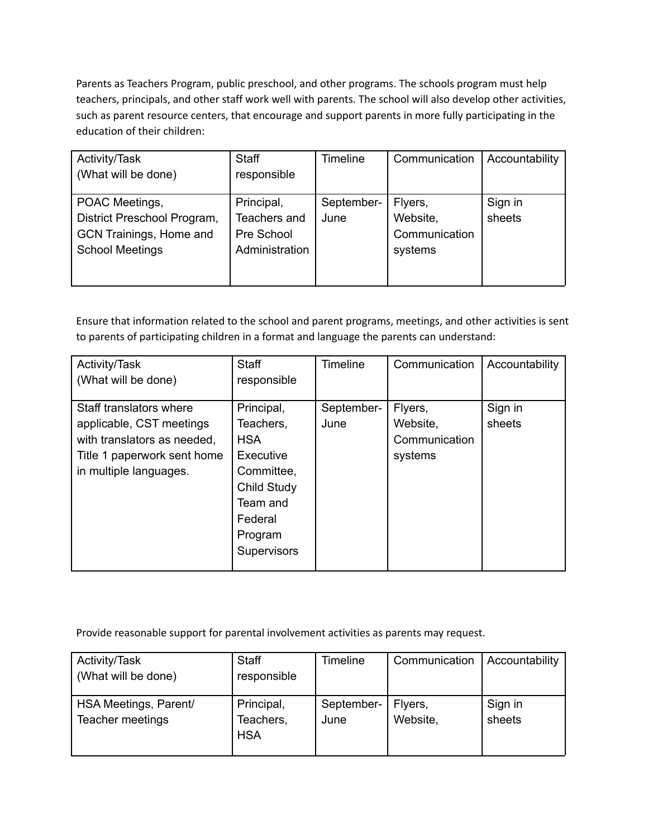Parents as Teachers Program, public preschool, and other programs. The schools program must help teachers, principals, and other staff work well with parents. The school will also develop other activities, such as parent resource centers, that encourage and support parents in more fully participating in the education of their children:

| Activity/Task               | <b>Staff</b>   | Timeline   | Communication | Accountability |
|-----------------------------|----------------|------------|---------------|----------------|
| (What will be done)         | responsible    |            |               |                |
|                             |                |            |               |                |
| POAC Meetings,              | Principal,     | September- | Flyers,       | Sign in        |
| District Preschool Program, | Teachers and   | June       | Website,      | sheets         |
| GCN Trainings, Home and     | Pre School     |            | Communication |                |
| <b>School Meetings</b>      | Administration |            | systems       |                |
|                             |                |            |               |                |
|                             |                |            |               |                |

Ensure that information related to the school and parent programs, meetings, and other activities is sent to parents of participating children in a format and language the parents can understand:

| Activity/Task               | <b>Staff</b> | <b>Timeline</b> | Communication | Accountability |
|-----------------------------|--------------|-----------------|---------------|----------------|
| (What will be done)         | responsible  |                 |               |                |
|                             |              |                 |               |                |
| Staff translators where     | Principal,   | September-      | Flyers,       | Sign in        |
| applicable, CST meetings    | Teachers,    | June            | Website,      | sheets         |
| with translators as needed, | <b>HSA</b>   |                 | Communication |                |
| Title 1 paperwork sent home | Executive    |                 | systems       |                |
| in multiple languages.      | Committee,   |                 |               |                |
|                             | Child Study  |                 |               |                |
|                             | Team and     |                 |               |                |
|                             | Federal      |                 |               |                |
|                             | Program      |                 |               |                |
|                             | Supervisors  |                 |               |                |
|                             |              |                 |               |                |

Provide reasonable support for parental involvement activities as parents may request.

| Activity/Task<br>(What will be done)      | <b>Staff</b><br>responsible           | Timeline           | Communication       | Accountability    |
|-------------------------------------------|---------------------------------------|--------------------|---------------------|-------------------|
| HSA Meetings, Parent/<br>Teacher meetings | Principal,<br>Teachers,<br><b>HSA</b> | September-<br>June | Flyers,<br>Website, | Sign in<br>sheets |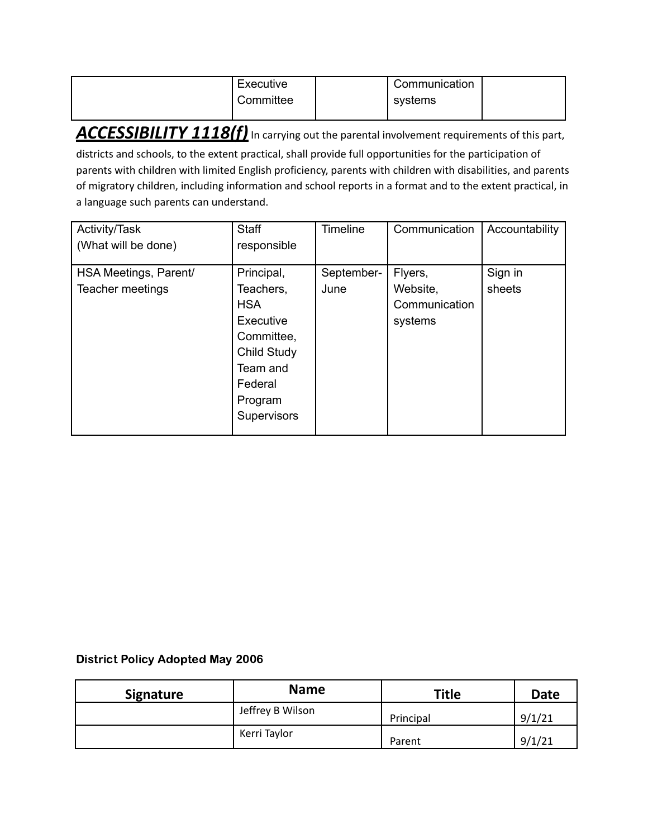| Executive<br>Committee | Communication<br>systems |  |
|------------------------|--------------------------|--|
|                        |                          |  |

ACCESSIBILITY 1118(f) In carrying out the parental involvement requirements of this part,

districts and schools, to the extent practical, shall provide full opportunities for the participation of parents with children with limited English proficiency, parents with children with disabilities, and parents of migratory children, including information and school reports in a format and to the extent practical, in a language such parents can understand.

| Activity/Task<br>(What will be done) | <b>Staff</b><br>responsible                                                                                               | <b>Timeline</b> | Communication                        | Accountability |
|--------------------------------------|---------------------------------------------------------------------------------------------------------------------------|-----------------|--------------------------------------|----------------|
| HSA Meetings, Parent/                | Principal,                                                                                                                | September-      | Flyers,                              | Sign in        |
| Teacher meetings                     | Teachers,<br><b>HSA</b><br>Executive<br>Committee,<br>Child Study<br>Team and<br>Federal<br>Program<br><b>Supervisors</b> | June            | Website,<br>Communication<br>systems | sheets         |

## District Policy Adopted May 2006

| <b>Signature</b> | <b>Name</b>      | <b>Title</b> | <b>Date</b> |
|------------------|------------------|--------------|-------------|
|                  | Jeffrey B Wilson | Principal    | 9/1/21      |
|                  | Kerri Taylor     | Parent       | 9/1/21      |